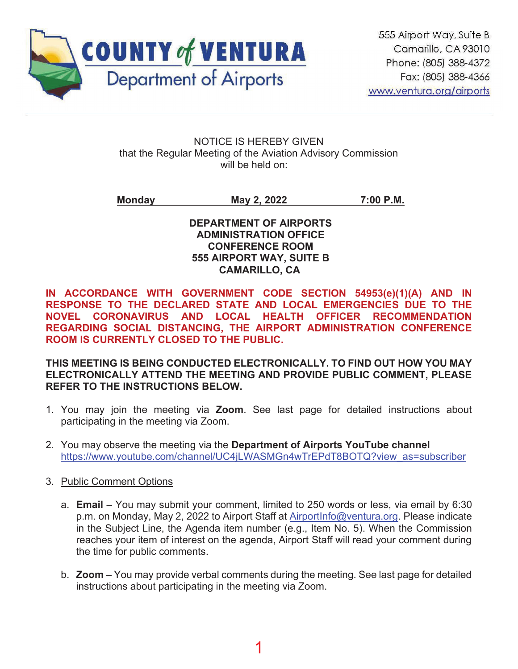

NOTICE IS HEREBY GIVEN that the Regular Meeting of the Aviation Advisory Commission will be held on:

**Monday May 2, 2022 7:00 P.M.**

**DEPARTMENT OF AIRPORTS ADMINISTRATION OFFICE CONFERENCE ROOM 555 AIRPORT WAY, SUITE B CAMARILLO, CA**

**IN ACCORDANCE WITH GOVERNMENT CODE SECTION 54953(e)(1)(A) AND IN RESPONSE TO THE DECLARED STATE AND LOCAL EMERGENCIES DUE TO THE NOVEL CORONAVIRUS AND LOCAL HEALTH OFFICER RECOMMENDATION REGARDING SOCIAL DISTANCING, THE AIRPORT ADMINISTRATION CONFERENCE ROOM IS CURRENTLY CLOSED TO THE PUBLIC.**

**THIS MEETING IS BEING CONDUCTED ELECTRONICALLY. TO FIND OUT HOW YOU MAY ELECTRONICALLY ATTEND THE MEETING AND PROVIDE PUBLIC COMMENT, PLEASE REFER TO THE INSTRUCTIONS BELOW.**

- 1. You may join the meeting via **Zoom**. See last page for detailed instructions about participating in the meeting via Zoom.
- 2. You may observe the meeting via the **Department of Airports YouTube channel** https://www.youtube.com/channel/UC4jLWASMGn4wTrEPdT8BOTQ?view\_as=subscriber
- 3. Public Comment Options
	- a. **Email** You may submit your comment, limited to 250 words or less, via email by 6:30 p.m. on Monday, May 2, 2022 to Airport Staff at AirportInfo@ventura.org. Please indicate in the Subject Line, the Agenda item number (e.g., Item No. 5). When the Commission reaches your item of interest on the agenda, Airport Staff will read your comment during the time for public comments.
	- b. **Zoom** You may provide verbal comments during the meeting. See last page for detailed instructions about participating in the meeting via Zoom.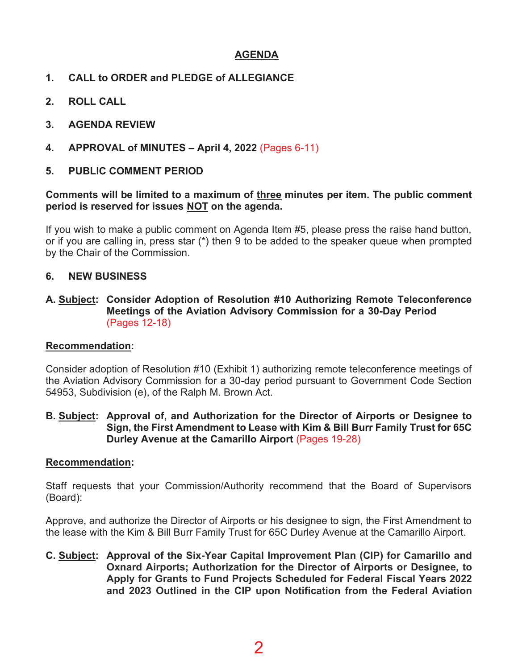# **AGENDA**

- **CALL to ORDER and PLEDGE of ALLEGIANCE**
- **ROLL CALL**
- **AGENDA REVIEW**
- **4.** APPROVAL of MINUTES April 4, 2022 (Pages 6-11)

# **PUBLIC COMMENT PERIOD**

#### **Comments will be limited to a maximum of three minutes per item. The public comment period is reserved for issues NOT on the agenda.**

If you wish to make a public comment on Agenda Item #5, please press the raise hand button, or if you are calling in, press star (\*) then 9 to be added to the speaker queue when prompted by the Chair of the Commission.

### **6. NEW BUSINESS**

**A. Subject: Consider Adoption of Resolution #10 Authorizing Remote Teleconference Meetings of the Aviation Advisory Commission for a 30-Day Period**  (Pages 12-18)

#### **Recommendation:**

Consider adoption of Resolution #10 (Exhibit 1) authorizing remote teleconference meetings of the Aviation Advisory Commission for a 30-day period pursuant to Government Code Section 54953, Subdivision (e), of the Ralph M. Brown Act.

#### **B. Subject: Approval of, and Authorization for the Director of Airports or Designee to Sign, the First Amendment to Lease with Kim & Bill Burr Family Trust for 65C Durley Avenue at the Camarillo Airport (Pages 19-28)**

#### **Recommendation:**

Staff requests that your Commission/Authority recommend that the Board of Supervisors (Board):

Approve, and authorize the Director of Airports or his designee to sign, the First Amendment to the lease with the Kim & Bill Burr Family Trust for 65C Durley Avenue at the Camarillo Airport.

**C. Subject: Approval of the Six-Year Capital Improvement Plan (CIP) for Camarillo and Oxnard Airports; Authorization for the Director of Airports or Designee, to Apply for Grants to Fund Projects Scheduled for Federal Fiscal Years 2022 and 2023 Outlined in the CIP upon Notification from the Federal Aviation**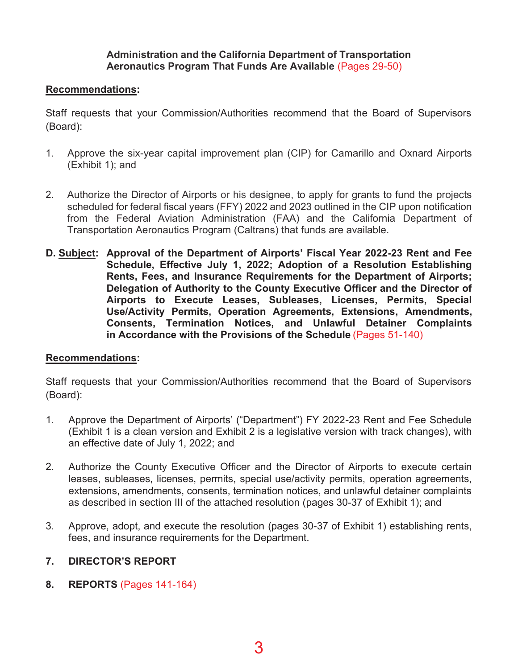#### **Administration and the California Department of Transportation Aeronautics Program That Funds Are Available (Pages 29-50)**

### **Recommendations:**

Staff requests that your Commission/Authorities recommend that the Board of Supervisors (Board):

- 1. Approve the six-year capital improvement plan (CIP) for Camarillo and Oxnard Airports (Exhibit 1); and
- 2. Authorize the Director of Airports or his designee, to apply for grants to fund the projects scheduled for federal fiscal years (FFY) 2022 and 2023 outlined in the CIP upon notification from the Federal Aviation Administration (FAA) and the California Department of Transportation Aeronautics Program (Caltrans) that funds are available.
- **D. Subject: Approval of the Department of Airports' Fiscal Year 2022-23 Rent and Fee Schedule, Effective July 1, 2022; Adoption of a Resolution Establishing Rents, Fees, and Insurance Requirements for the Department of Airports; Delegation of Authority to the County Executive Officer and the Director of Airports to Execute Leases, Subleases, Licenses, Permits, Special Use/Activity Permits, Operation Agreements, Extensions, Amendments, Consents, Termination Notices, and Unlawful Detainer Complaints**  in Accordance with the Provisions of the Schedule (Pages 51-140)

#### **Recommendations:**

Staff requests that your Commission/Authorities recommend that the Board of Supervisors (Board):

- 1. Approve the Department of Airports' ("Department") FY 2022-23 Rent and Fee Schedule (Exhibit 1 is a clean version and Exhibit 2 is a legislative version with track changes), with an effective date of July 1, 2022; and
- 2. Authorize the County Executive Officer and the Director of Airports to execute certain leases, subleases, licenses, permits, special use/activity permits, operation agreements, extensions, amendments, consents, termination notices, and unlawful detainer complaints as described in section III of the attached resolution (pages 30-37 of Exhibit 1); and
- 3. Approve, adopt, and execute the resolution (pages 30-37 of Exhibit 1) establishing rents, fees, and insurance requirements for the Department.

# **DIRECTOR'S REPORT**

**8.** REPORTS (Pages 141-164)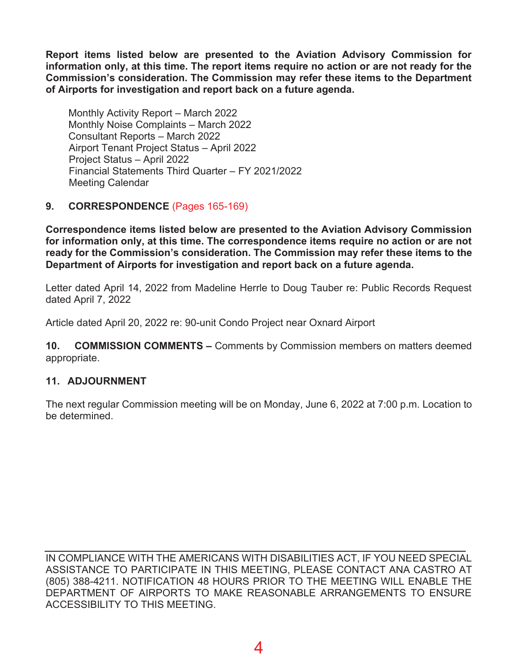**Report items listed below are presented to the Aviation Advisory Commission for information only, at this time. The report items require no action or are not ready for the Commission's consideration. The Commission may refer these items to the Department of Airports for investigation and report back on a future agenda.** 

Monthly Activity Report – March 2022 Monthly Noise Complaints – March 2022 Consultant Reports – March 2022 Airport Tenant Project Status – April 2022 Project Status – April 2022 Financial Statements Third Quarter – FY 2021/2022 Meeting Calendar

# **9. CORRESPONDENCE** (Pages 165-169)

**Correspondence items listed below are presented to the Aviation Advisory Commission for information only, at this time. The correspondence items require no action or are not ready for the Commission's consideration. The Commission may refer these items to the Department of Airports for investigation and report back on a future agenda.** 

Letter dated April 14, 2022 from Madeline Herrle to Doug Tauber re: Public Records Request dated April 7, 2022

Article dated April 20, 2022 re: 90-unit Condo Project near Oxnard Airport

**10. COMMISSION COMMENTS –** Comments by Commission members on matters deemed appropriate.

# **11. ADJOURNMENT**

The next regular Commission meeting will be on Monday, June 6, 2022 at 7:00 p.m. Location to be determined.

IN COMPLIANCE WITH THE AMERICANS WITH DISABILITIES ACT, IF YOU NEED SPECIAL ASSISTANCE TO PARTICIPATE IN THIS MEETING, PLEASE CONTACT ANA CASTRO AT (805) 388-4211. NOTIFICATION 48 HOURS PRIOR TO THE MEETING WILL ENABLE THE DEPARTMENT OF AIRPORTS TO MAKE REASONABLE ARRANGEMENTS TO ENSURE ACCESSIBILITY TO THIS MEETING.